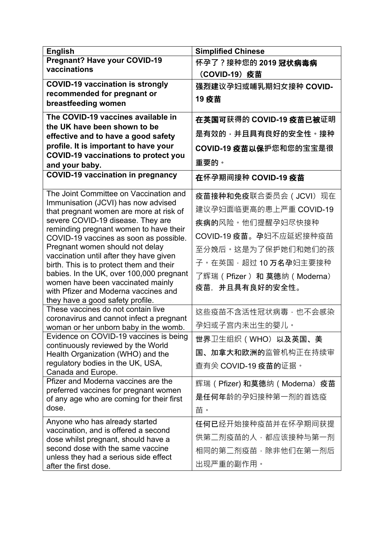| <b>English</b>                                                                      | <b>Simplified Chinese</b>       |
|-------------------------------------------------------------------------------------|---------------------------------|
| <b>Pregnant? Have your COVID-19</b>                                                 | 怀孕了?接种您的 2019 冠状病毒病             |
| vaccinations                                                                        | (COVID-19) 疫苗                   |
| <b>COVID-19 vaccination is strongly</b>                                             | 强烈建议孕妇或哺乳期妇女接种 COVID-           |
| recommended for pregnant or                                                         |                                 |
| breastfeeding women                                                                 | 19 疫苗                           |
| The COVID-19 vaccines available in                                                  | 在英国可获得的 COVID-19 疫苗已被证明         |
| the UK have been shown to be                                                        |                                 |
| effective and to have a good safety                                                 | 是有效的 <sup>,</sup> 并且具有良好的安全性。接种 |
| profile. It is important to have your                                               | COVID-19 疫苗以保护您和您的宝宝是很          |
| <b>COVID-19 vaccinations to protect you</b>                                         | 重要的。                            |
| and your baby.<br><b>COVID-19 vaccination in pregnancy</b>                          |                                 |
|                                                                                     | 在怀孕期间接种 COVID-19 疫苗             |
| The Joint Committee on Vaccination and                                              | 疫苗接种和免疫联合委员会 ( JCVI) 现在         |
| Immunisation (JCVI) has now advised<br>that pregnant women are more at risk of      | 建议孕妇面临更高的患上严重 COVID-19          |
| severe COVID-19 disease. They are                                                   | 疾病的风险。他们提醒孕妇尽快接种                |
| reminding pregnant women to have their<br>COVID-19 vaccines as soon as possible.    | COVID-19 疫苗。孕妇不应延迟接种疫苗          |
| Pregnant women should not delay                                                     | 至分娩后。这是为了保护她们和她们的孩              |
| vaccination until after they have given<br>birth. This is to protect them and their | 子。在英国·超过 10 万名孕妇主要接种            |
| babies. In the UK, over 100,000 pregnant                                            | 了辉瑞(Pfizer) 和 莫德纳(Moderna)      |
| women have been vaccinated mainly                                                   | 疫苗. 并且具有良好的安全性。                 |
| with Pfizer and Moderna vaccines and                                                |                                 |
| they have a good safety profile.<br>These vaccines do not contain live              |                                 |
| coronavirus and cannot infect a pregnant                                            | 这些疫苗不含活性冠状病毒,也不会感染              |
| woman or her unborn baby in the womb.                                               | 孕妇或子宫内未出生的婴儿。                   |
| Evidence on COVID-19 vaccines is being<br>continuously reviewed by the World        | 世界卫生组织(WHO)以及英国、美               |
| Health Organization (WHO) and the                                                   | 国、加拿大和欧洲的监管机构正在持续审              |
| regulatory bodies in the UK, USA,                                                   | 查有关 COVID-19 疫苗的证据。             |
| Canada and Europe.<br>Pfizer and Moderna vaccines are the                           |                                 |
| preferred vaccines for pregnant women                                               | 辉瑞(Pfizer) 和莫德纳(Moderna)疫苗      |
| of any age who are coming for their first                                           | 是任何年龄的孕妇接种第一剂的首选疫               |
| dose.                                                                               | 苗。                              |
| Anyone who has already started                                                      | <b>任何已</b> 经开始接种疫苗并在怀孕期间获提      |
| vaccination, and is offered a second<br>dose whilst pregnant, should have a         | 供第二剂疫苗的人,都应该接种与第一剂              |
| second dose with the same vaccine                                                   | 相同的第二剂疫苗,除非他们在第一剂后              |
| unless they had a serious side effect                                               | 出现严重的副作用。                       |
| after the first dose.                                                               |                                 |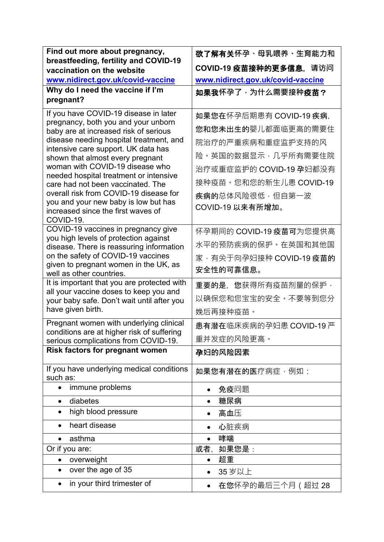| Find out more about pregnancy,                                                       | 欲了解有关怀孕、母乳喂养、生育能力和                |
|--------------------------------------------------------------------------------------|-----------------------------------|
| breastfeeding, fertility and COVID-19                                                |                                   |
| vaccination on the website                                                           | COVID-19 疫苗接种的更多信息,请访问            |
| www.nidirect.gov.uk/covid-vaccine                                                    | www.nidirect.gov.uk/covid-vaccine |
| Why do I need the vaccine if I'm<br>pregnant?                                        | 如果我怀孕了,为什么需要接种疫苗?                 |
|                                                                                      |                                   |
| If you have COVID-19 disease in later                                                | 如果您在怀孕后期患有 COVID-19 疾病.           |
| pregnancy, both you and your unborn<br>baby are at increased risk of serious         | <b>您和您未出生的</b> 婴儿都面临更高的需要住        |
| disease needing hospital treatment, and                                              | 院治疗的严重疾病和重症监护支持的风                 |
| intensive care support. UK data has<br>shown that almost every pregnant              | 险。英国的数据显示,几乎所有需要住院                |
| woman with COVID-19 disease who                                                      | 治疗或重症监护的 COVID-19 孕妇都没有           |
| needed hospital treatment or intensive<br>care had not been vaccinated. The          | 接种疫苗。您和您的新生儿患 COVID-19            |
| overall risk from COVID-19 disease for                                               | <b>疾病的</b> 总体风险很低,但自第一波           |
| you and your new baby is low but has                                                 | COVID-19 以来有所增加。                  |
| increased since the first waves of<br>COVID-19.                                      |                                   |
| COVID-19 vaccines in pregnancy give                                                  | 怀孕期间的 COVID-19 疫苗可为您提供高           |
| you high levels of protection against                                                | 水平的预防疾病的保护。在英国和其他国                |
| disease. There is reassuring information<br>on the safety of COVID-19 vaccines       |                                   |
| given to pregnant women in the UK, as                                                | 家,有关于向孕妇接种 COVID-19 疫苗的           |
| well as other countries.                                                             | 安全性的可靠信息。                         |
| It is important that you are protected with                                          | 重要的是,您获得所有疫苗剂量的保护·                |
| all your vaccine doses to keep you and<br>your baby safe. Don't wait until after you | 以确保您和您宝宝的安全。不要等到您分                |
| have given birth.                                                                    | 娩后再接种疫苗。                          |
| Pregnant women with underlying clinical                                              | 患有潜在临床疾病的孕妇患 COVID-19 严           |
| conditions are at higher risk of suffering<br>serious complications from COVID-19.   | 重并发症的风险更高·                        |
| Risk factors for pregnant women                                                      | 孕妇的风险因素                           |
|                                                                                      |                                   |
| If you have underlying medical conditions<br>such as:                                | <b>如果您有潜在的医</b> 疗病症 · 例如:         |
| immune problems<br>$\bullet$                                                         | 免疫问题                              |
| diabetes<br>$\bullet$                                                                | 糖尿病                               |
| high blood pressure                                                                  | 高血压                               |
| heart disease                                                                        | 心脏疾病                              |
| asthma                                                                               | 哮喘                                |
| Or if you are:                                                                       | 或者,<br>如果您是:                      |
| overweight<br>$\bullet$                                                              | 超重<br>$\bullet$                   |
| over the age of 35<br>$\bullet$                                                      | 35 岁以上                            |
| in your third trimester of                                                           | 在您怀孕的最后三个月(超过 28                  |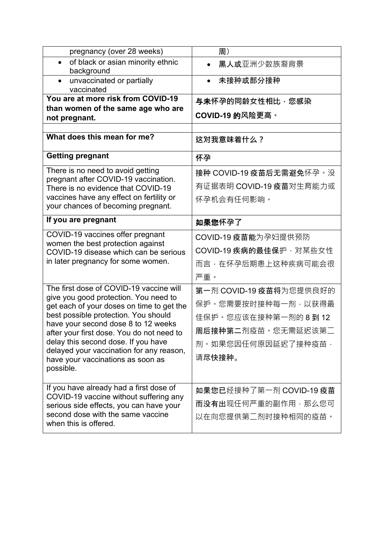| pregnancy (over 28 weeks)                                                          | 周)                      |
|------------------------------------------------------------------------------------|-------------------------|
| of black or asian minority ethnic<br>$\bullet$<br>background                       | 黑人或亚洲少数族裔背景             |
| unvaccinated or partially<br>$\bullet$<br>vaccinated                               | 未接种或部分接种                |
| You are at more risk from COVID-19                                                 | 与未怀孕的同龄女性相比 · 您感染       |
| than women of the same age who are<br>not pregnant.                                | <b>COVID-19 的风险更高。</b>  |
|                                                                                    |                         |
| What does this mean for me?                                                        | 这对我意味着什么?               |
| <b>Getting pregnant</b>                                                            | 怀孕                      |
| There is no need to avoid getting                                                  | 接种 COVID-19 疫苗后无需避免怀孕。没 |
| pregnant after COVID-19 vaccination.<br>There is no evidence that COVID-19         | 有证据表明 COVID-19 疫苗对生育能力或 |
| vaccines have any effect on fertility or                                           | 怀孕机会有任何影响。              |
| your chances of becoming pregnant.                                                 |                         |
| If you are pregnant                                                                | 如果您怀孕了                  |
| COVID-19 vaccines offer pregnant                                                   | COVID-19 疫苗能为孕妇提供预防     |
| women the best protection against<br>COVID-19 disease which can be serious         | COVID-19 疾病的最佳保护, 对某些女性 |
| in later pregnancy for some women.                                                 | 而言,在怀孕后期患上这种疾病可能会很      |
|                                                                                    | 严重。                     |
| The first dose of COVID-19 vaccine will                                            | 第一剂 COVID-19 疫苗将为您提供良好的 |
| give you good protection. You need to<br>get each of your doses on time to get the | 保护 · 您需要按时接种每一剂 · 以获得最  |
| best possible protection. You should                                               | 佳保护。您应该在接种第一剂的 8 到 12   |
| have your second dose 8 to 12 weeks<br>after your first dose. You do not need to   | 周后接种第二剂疫苗。您无需延迟该第二      |
| delay this second dose. If you have                                                | 剂。如果您因任何原因延迟了接种疫苗,      |
| delayed your vaccination for any reason,                                           | 请尽快接种。                  |
| have your vaccinations as soon as<br>possible.                                     |                         |
|                                                                                    |                         |
| If you have already had a first dose of                                            | 如果您已经接种了第一剂 COVID-19 疫苗 |
| COVID-19 vaccine without suffering any<br>serious side effects, you can have your  | 而没有出现任何严重的副作用,那么您可      |
| second dose with the same vaccine                                                  | 以在向您提供第二剂时接种相同的疫苗。      |
| when this is offered.                                                              |                         |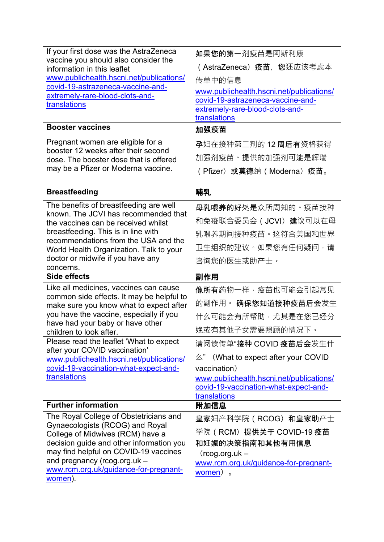| If your first dose was the AstraZeneca<br>vaccine you should also consider the<br>information in this leaflet<br>www.publichealth.hscni.net/publications/<br>covid-19-astrazeneca-vaccine-and-<br>extremely-rare-blood-clots-and-<br>translations<br><b>Booster vaccines</b><br>Pregnant women are eligible for a<br>booster 12 weeks after their second<br>dose. The booster dose that is offered<br>may be a Pfizer or Moderna vaccine. | 如果您的第一剂疫苗是阿斯利康<br>( AstraZeneca) 疫苗, 您还应该考虑本<br>传单中的信息<br>www.publichealth.hscni.net/publications/<br>covid-19-astrazeneca-vaccine-and-<br>extremely-rare-blood-clots-and-<br>translations<br>加强疫苗<br>孕妇在接种第二剂的 12 周后有资格获得<br>加强剂疫苗。提供的加强剂可能是辉瑞<br>(Pfizer) 或莫德纳 (Moderna) 疫苗。 |
|-------------------------------------------------------------------------------------------------------------------------------------------------------------------------------------------------------------------------------------------------------------------------------------------------------------------------------------------------------------------------------------------------------------------------------------------|--------------------------------------------------------------------------------------------------------------------------------------------------------------------------------------------------------------------------------------------------------------------------------|
| <b>Breastfeeding</b>                                                                                                                                                                                                                                                                                                                                                                                                                      | 哺乳                                                                                                                                                                                                                                                                             |
| The benefits of breastfeeding are well<br>known. The JCVI has recommended that<br>the vaccines can be received whilst<br>breastfeeding. This is in line with<br>recommendations from the USA and the<br>World Health Organization. Talk to your<br>doctor or midwife if you have any<br>concerns.                                                                                                                                         | 母乳喂养的好处是众所周知的。疫苗接种<br>和免疫联合委员会(JCVI) 建议可以在母<br>乳喂养期间接种疫苗。这符合美国和世界<br>卫生组织的建议。如果您有任何疑问,请<br>咨询您的医生或助产士。                                                                                                                                                                         |
| <b>Side effects</b>                                                                                                                                                                                                                                                                                                                                                                                                                       | 副作用                                                                                                                                                                                                                                                                            |
| Like all medicines, vaccines can cause<br>common side effects. It may be helpful to<br>make sure you know what to expect after<br>you have the vaccine, especially if you<br>have had your baby or have other<br>children to look after.                                                                                                                                                                                                  | 像所有药物一样,疫苗也可能会引起常见<br>的副作用。 确保您知道接种疫苗后会发生<br>什么可能会有所帮助,尤其是在您已经分<br>娩或有其他子女需要照顾的情况下。                                                                                                                                                                                            |
| Please read the leaflet 'What to expect<br>after your COVID vaccination'<br>www.publichealth.hscni.net/publications/<br>covid-19-vaccination-what-expect-and-<br>translations                                                                                                                                                                                                                                                             | 请阅读传单"接种 COVID 疫苗后会发生什<br>$\&$ " (What to expect after your COVID<br>vaccination)<br>www.publichealth.hscni.net/publications/<br>covid-19-vaccination-what-expect-and-<br>translations                                                                                         |
| <b>Further information</b>                                                                                                                                                                                                                                                                                                                                                                                                                | 附加信息                                                                                                                                                                                                                                                                           |
| The Royal College of Obstetricians and<br>Gynaecologists (RCOG) and Royal<br>College of Midwives (RCM) have a<br>decision guide and other information you<br>may find helpful on COVID-19 vaccines<br>and pregnancy (rcog.org.uk -<br>www.rcm.org.uk/guidance-for-pregnant-<br>women).                                                                                                                                                    | 皇家妇产科学院 (RCOG) 和皇家助产士<br>学院(RCM)提供关于 COVID-19 疫苗<br>和妊娠的决策指南和其他有用信息<br>$($ rcog.org.uk –<br>www.rcm.org.uk/guidance-for-pregnant-<br>women) 。                                                                                                                                  |